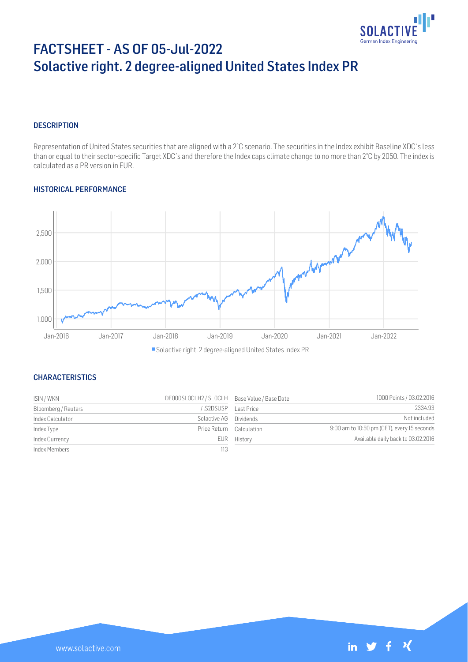

# FACTSHEET - AS OF 05-Jul-2022 Solactive right. 2 degree-aligned United States Index PR

## **DESCRIPTION**

Representation of United States securities that are aligned with a 2°C scenario. The securities in the Index exhibit Baseline XDC´s less than or equal to their sector-specific Target XDC´s and therefore the Index caps climate change to no more than 2°C by 2050. The index is calculated as a PR version in EUR.

## HISTORICAL PERFORMANCE



Solactive right. 2 degree-aligned United States Index PR

## **CHARACTERISTICS**

| ISIN / WKN          | DE000SLOCLH2 / SLOCLH Base Value / Base Date |                    | 1000 Points / 03.02.2016                    |
|---------------------|----------------------------------------------|--------------------|---------------------------------------------|
| Bloomberg / Reuters |                                              | S2DSUSP Last Price | 2334.93                                     |
| Index Calculator    | Solactive AG Dividends                       |                    | Not included                                |
| Index Type          | Price Return Calculation                     |                    | 9:00 am to 10:50 pm (CET), every 15 seconds |
| Index Currency      |                                              | EUR History        | Available daily back to 03.02.2016          |
| Index Members       | 113                                          |                    |                                             |



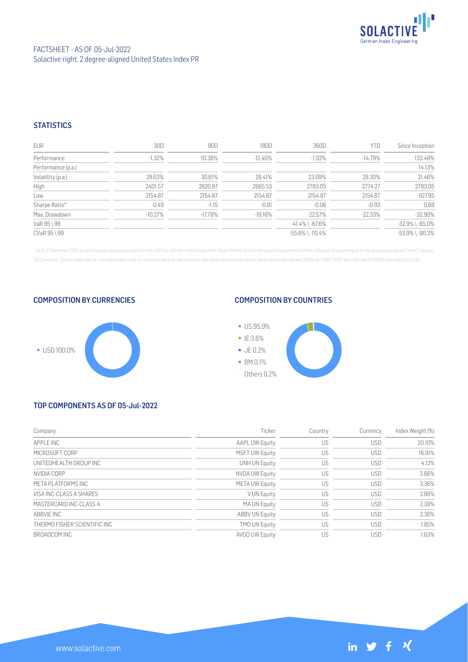

## FACTSHEET - AS OF 05-Jul-2022 Solactive right. 2 degree-aligned United States Index PR

## **STATISTICS**

| EUR                | 30D        | 90D        | 180D       | 360D                  | <b>YTD</b> | Since Inception       |
|--------------------|------------|------------|------------|-----------------------|------------|-----------------------|
| Performance        | $-1.32%$   | $-10.38\%$ | $-12.40\%$ | $-1.92%$              | $-14.79\%$ | 133.49%               |
| Performance (p.a.) |            |            |            |                       |            | 14.13%                |
| Volatility (p.a.)  | 29.63%     | 30.61%     | 28.41%     | 23.09%                | 28.30%     | 21.46%                |
| High               | 2401.57    | 2620.97    | 2665.53    | 2783.05               | 2774.27    | 2783.05               |
| Low                | 2154.87    | 2154.87    | 2154.87    | 2154.87               | 2154.87    | 927.95                |
| Sharpe Ratio*      | $-0.49$    | $-1.15$    | $-0.81$    | $-0.06$               | $-0.93$    | 0.69                  |
| Max. Drawdown      | $-10.27\%$ | $-17.78%$  | $-19.16%$  | $-22.57%$             | $-22.33\%$ | $-32.90%$             |
| VaR 95 \ 99        |            |            |            | $-41.4\%$ \ $-67.6\%$ |            | $-32.9\%$ \ $-65.0\%$ |
| CVaR 95 \ 99       |            |            |            | -55.6% \ -70.4%       |            | $-53.9\%$ \ $-90.3\%$ |

\* Up to 31 December 2021, ex-post Sharpe ratios use as input for the risk free rate term the London Inter-Bank Offered rates in the respective currencies of the index and at a term equal to the observation period. From 3 J 2022 onwards, Sharpe ratios will be / are calculated using as reference risk free rate input the overnight replacement rate for these currencies, namely SONIA (for GBP), SOFR (for USD) and EURIBOR Overnight (for EUR).

### COMPOSITION BY CURRENCIES



## COMPOSITION BY COUNTRIES



# TOP COMPONENTS AS OF 05-Jul-2022

| Company                      | Ticker                | Country | Currency   | Index Weight (%) |
|------------------------------|-----------------------|---------|------------|------------------|
| APPI F INC                   | <b>AAPL UW Equity</b> | US      | <b>USD</b> | 20.10%           |
| MICROSOFT CORP               | <b>MSFT UW Equity</b> | US      | <b>USD</b> | 16.91%           |
| UNITEDHEALTH GROUP INC       | <b>UNH UN Equity</b>  | US      | <b>USD</b> | 4.12%            |
| NVIDIA CORP                  | <b>NVDA UW Equity</b> | US      | <b>USD</b> | 3.66%            |
| META PI ATEORMS INC          | <b>META UW Equity</b> | US      | <b>USD</b> | 3.36%            |
| VISA INC-CLASS A SHARES      | V UN Equity           | US      | <b>USD</b> | 2.88%            |
| MASTERCARD INC-CLASS A       | MA UN Equity          | US      | <b>USD</b> | 2.39%            |
| ABBVIE INC                   | <b>ABBV UN Equity</b> | US      | <b>USD</b> | 2.36%            |
| THERMO FISHER SCIENTIFIC INC | <b>TMO UN Equity</b>  | US      | <b>USD</b> | 1.85%            |
| BROADCOM INC                 | AVGO UW Equity        | US      | <b>USD</b> | 1.63%            |